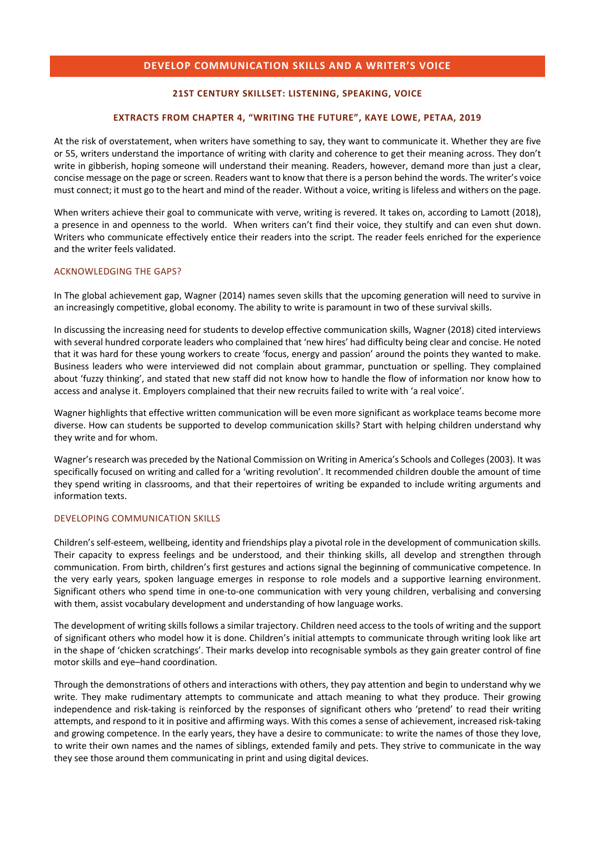# **DEVELOP COMMUNICATION SKILLS AND A WRITER'S VOICE**

# **21ST CENTURY SKILLSET: LISTENING, SPEAKING, VOICE**

#### **EXTRACTS FROM CHAPTER 4, "WRITING THE FUTURE", KAYE LOWE, PETAA, 2019**

At the risk of overstatement, when writers have something to say, they want to communicate it. Whether they are five or 55, writers understand the importance of writing with clarity and coherence to get their meaning across. They don't write in gibberish, hoping someone will understand their meaning. Readers, however, demand more than just a clear, concise message on the page or screen. Readers want to know that there is a person behind the words. The writer's voice must connect; it must go to the heart and mind of the reader. Without a voice, writing is lifeless and withers on the page.

When writers achieve their goal to communicate with verve, writing is revered. It takes on, according to Lamott (2018), a presence in and openness to the world. When writers can't find their voice, they stultify and can even shut down. Writers who communicate effectively entice their readers into the script. The reader feels enriched for the experience and the writer feels validated.

## ACKNOWLEDGING THE GAPS?

In The global achievement gap, Wagner (2014) names seven skills that the upcoming generation will need to survive in an increasingly competitive, global economy. The ability to write is paramount in two of these survival skills.

In discussing the increasing need for students to develop effective communication skills, Wagner (2018) cited interviews with several hundred corporate leaders who complained that 'new hires' had difficulty being clear and concise. He noted that it was hard for these young workers to create 'focus, energy and passion' around the points they wanted to make. Business leaders who were interviewed did not complain about grammar, punctuation or spelling. They complained about 'fuzzy thinking', and stated that new staff did not know how to handle the flow of information nor know how to access and analyse it. Employers complained that their new recruits failed to write with 'a real voice'.

Wagner highlights that effective written communication will be even more significant as workplace teams become more diverse. How can students be supported to develop communication skills? Start with helping children understand why they write and for whom.

Wagner's research was preceded by the National Commission on Writing in America's Schools and Colleges (2003). It was specifically focused on writing and called for a 'writing revolution'. It recommended children double the amount of time they spend writing in classrooms, and that their repertoires of writing be expanded to include writing arguments and information texts.

#### DEVELOPING COMMUNICATION SKILLS

Children's self-esteem, wellbeing, identity and friendships play a pivotal role in the development of communication skills. Their capacity to express feelings and be understood, and their thinking skills, all develop and strengthen through communication. From birth, children's first gestures and actions signal the beginning of communicative competence. In the very early years, spoken language emerges in response to role models and a supportive learning environment. Significant others who spend time in one-to-one communication with very young children, verbalising and conversing with them, assist vocabulary development and understanding of how language works.

The development of writing skills follows a similar trajectory. Children need access to the tools of writing and the support of significant others who model how it is done. Children's initial attempts to communicate through writing look like art in the shape of 'chicken scratchings'. Their marks develop into recognisable symbols as they gain greater control of fine motor skills and eye–hand coordination.

Through the demonstrations of others and interactions with others, they pay attention and begin to understand why we write. They make rudimentary attempts to communicate and attach meaning to what they produce. Their growing independence and risk-taking is reinforced by the responses of significant others who 'pretend' to read their writing attempts, and respond to it in positive and affirming ways. With this comes a sense of achievement, increased risk-taking and growing competence. In the early years, they have a desire to communicate: to write the names of those they love, to write their own names and the names of siblings, extended family and pets. They strive to communicate in the way they see those around them communicating in print and using digital devices.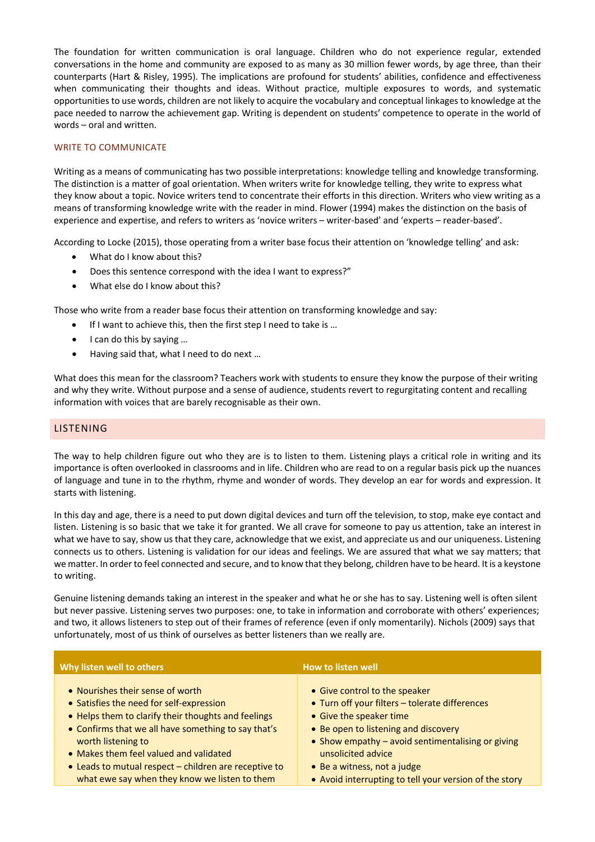The foundation for written communication is oral language. Children who do not experience regular, extended conversations in the home and community are exposed to as many as 30 million fewer words, by age three, than their counterparts (Hart & Risley, 1995). The implications are profound for students' abilities, confidence and effectiveness when communicating their thoughts and ideas. Without practice, multiple exposures to words, and systematic opportunities to use words, children are not likely to acquire the vocabulary and conceptual linkages to knowledge at the pace needed to narrow the achievement gap. Writing is dependent on students' competence to operate in the world of words – oral and written.

# WRITE TO COMMUNICATE

Writing as a means of communicating has two possible interpretations: knowledge telling and knowledge transforming. The distinction is a matter of goal orientation. When writers write for knowledge telling, they write to express what they know about a topic. Novice writers tend to concentrate their efforts in this direction. Writers who view writing as a means of transforming knowledge write with the reader in mind. Flower (1994) makes the distinction on the basis of experience and expertise, and refers to writers as 'novice writers – writer-based' and 'experts – reader-based'.

According to Locke (2015), those operating from a writer base focus their attention on 'knowledge telling' and ask:

- What do I know about this?
- Does this sentence correspond with the idea I want to express?"
- What else do I know about this?

Those who write from a reader base focus their attention on transforming knowledge and say:

- If I want to achieve this, then the first step I need to take is ...
- I can do this by saying …
- Having said that, what I need to do next …

What does this mean for the classroom? Teachers work with students to ensure they know the purpose of their writing and why they write. Without purpose and a sense of audience, students revert to regurgitating content and recalling information with voices that are barely recognisable as their own.

## LISTENING

The way to help children figure out who they are is to listen to them. Listening plays a critical role in writing and its importance is often overlooked in classrooms and in life. Children who are read to on a regular basis pick up the nuances of language and tune in to the rhythm, rhyme and wonder of words. They develop an ear for words and expression. It starts with listening.

In this day and age, there is a need to put down digital devices and turn off the television, to stop, make eye contact and listen. Listening is so basic that we take it for granted. We all crave for someone to pay us attention, take an interest in what we have to say, show us that they care, acknowledge that we exist, and appreciate us and our uniqueness. Listening connects us to others. Listening is validation for our ideas and feelings. We are assured that what we say matters; that we matter. In order to feel connected and secure, and to know that they belong, children have to be heard. It is a keystone to writing.

Genuine listening demands taking an interest in the speaker and what he or she has to say. Listening well is often silent but never passive. Listening serves two purposes: one, to take in information and corroborate with others' experiences; and two, it allows listeners to step out of their frames of reference (even if only momentarily). Nichols (2009) says that unfortunately, most of us think of ourselves as better listeners than we really are.

| Why listen well to others                             | How to listen well                                     |
|-------------------------------------------------------|--------------------------------------------------------|
| • Nourishes their sense of worth                      | • Give control to the speaker                          |
| • Satisfies the need for self-expression              | • Turn off your filters - tolerate differences         |
| • Helps them to clarify their thoughts and feelings   | • Give the speaker time                                |
| • Confirms that we all have something to say that's   | • Be open to listening and discovery                   |
| worth listening to                                    | • Show empathy - avoid sentimentalising or giving      |
| • Makes them feel valued and validated                | unsolicited advice                                     |
| • Leads to mutual respect - children are receptive to | • Be a witness, not a judge                            |
| what ewe say when they know we listen to them         | • Avoid interrupting to tell your version of the story |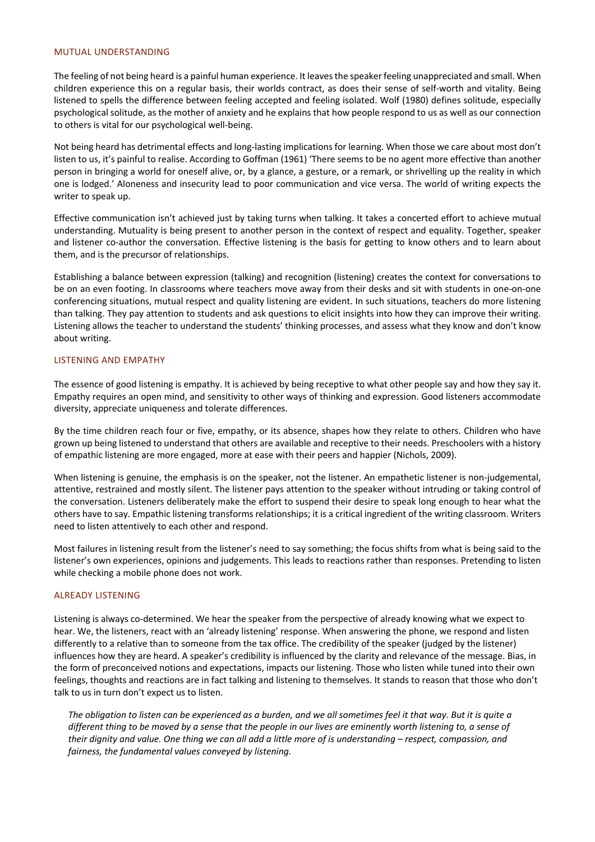#### MUTUAL UNDERSTANDING

The feeling of not being heard is a painful human experience. It leaves the speaker feeling unappreciated and small. When children experience this on a regular basis, their worlds contract, as does their sense of self-worth and vitality. Being listened to spells the difference between feeling accepted and feeling isolated. Wolf (1980) defines solitude, especially psychological solitude, as the mother of anxiety and he explains that how people respond to us as well as our connection to others is vital for our psychological well-being.

Not being heard has detrimental effects and long-lasting implications for learning. When those we care about most don't listen to us, it's painful to realise. According to Goffman (1961) 'There seems to be no agent more effective than another person in bringing a world for oneself alive, or, by a glance, a gesture, or a remark, or shrivelling up the reality in which one is lodged.' Aloneness and insecurity lead to poor communication and vice versa. The world of writing expects the writer to speak up.

Effective communication isn't achieved just by taking turns when talking. It takes a concerted effort to achieve mutual understanding. Mutuality is being present to another person in the context of respect and equality. Together, speaker and listener co-author the conversation. Effective listening is the basis for getting to know others and to learn about them, and is the precursor of relationships.

Establishing a balance between expression (talking) and recognition (listening) creates the context for conversations to be on an even footing. In classrooms where teachers move away from their desks and sit with students in one-on-one conferencing situations, mutual respect and quality listening are evident. In such situations, teachers do more listening than talking. They pay attention to students and ask questions to elicit insights into how they can improve their writing. Listening allows the teacher to understand the students' thinking processes, and assess what they know and don't know about writing.

## LISTENING AND EMPATHY

The essence of good listening is empathy. It is achieved by being receptive to what other people say and how they say it. Empathy requires an open mind, and sensitivity to other ways of thinking and expression. Good listeners accommodate diversity, appreciate uniqueness and tolerate differences.

By the time children reach four or five, empathy, or its absence, shapes how they relate to others. Children who have grown up being listened to understand that others are available and receptive to their needs. Preschoolers with a history of empathic listening are more engaged, more at ease with their peers and happier (Nichols, 2009).

When listening is genuine, the emphasis is on the speaker, not the listener. An empathetic listener is non-judgemental, attentive, restrained and mostly silent. The listener pays attention to the speaker without intruding or taking control of the conversation. Listeners deliberately make the effort to suspend their desire to speak long enough to hear what the others have to say. Empathic listening transforms relationships; it is a critical ingredient of the writing classroom. Writers need to listen attentively to each other and respond.

Most failures in listening result from the listener's need to say something; the focus shifts from what is being said to the listener's own experiences, opinions and judgements. This leads to reactions rather than responses. Pretending to listen while checking a mobile phone does not work.

## ALREADY LISTENING

Listening is always co-determined. We hear the speaker from the perspective of already knowing what we expect to hear. We, the listeners, react with an 'already listening' response. When answering the phone, we respond and listen differently to a relative than to someone from the tax office. The credibility of the speaker (judged by the listener) influences how they are heard. A speaker's credibility is influenced by the clarity and relevance of the message. Bias, in the form of preconceived notions and expectations, impacts our listening. Those who listen while tuned into their own feelings, thoughts and reactions are in fact talking and listening to themselves. It stands to reason that those who don't talk to us in turn don't expect us to listen.

*The obligation to listen can be experienced as a burden, and we all sometimes feel it that way. But it is quite a different thing to be moved by a sense that the people in our lives are eminently worth listening to, a sense of their dignity and value. One thing we can all add a little more of is understanding – respect, compassion, and fairness, the fundamental values conveyed by listening.*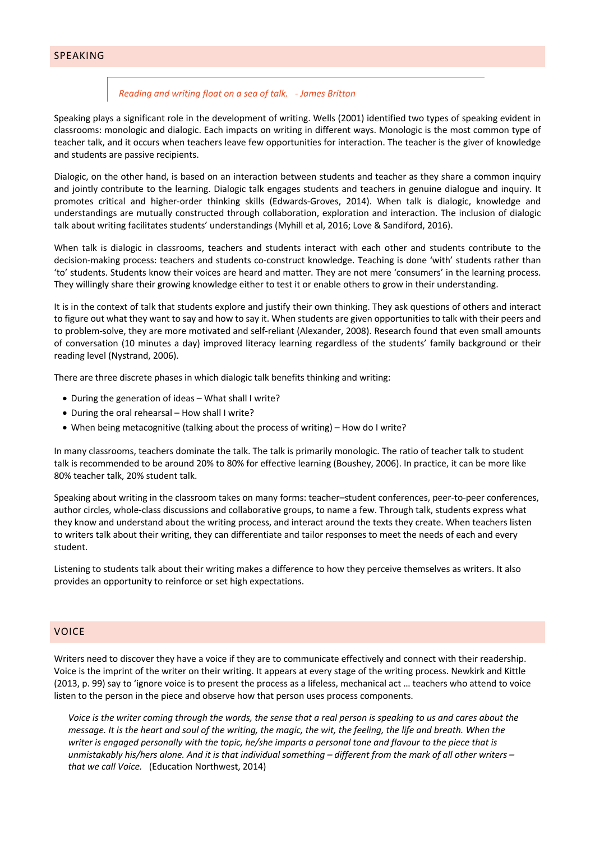# SPEAKING

#### *Reading and writing float on a sea of talk. - James Britton*

Speaking plays a significant role in the development of writing. Wells (2001) identified two types of speaking evident in classrooms: monologic and dialogic. Each impacts on writing in different ways. Monologic is the most common type of teacher talk, and it occurs when teachers leave few opportunities for interaction. The teacher is the giver of knowledge and students are passive recipients.

Dialogic, on the other hand, is based on an interaction between students and teacher as they share a common inquiry and jointly contribute to the learning. Dialogic talk engages students and teachers in genuine dialogue and inquiry. It promotes critical and higher-order thinking skills (Edwards-Groves, 2014). When talk is dialogic, knowledge and understandings are mutually constructed through collaboration, exploration and interaction. The inclusion of dialogic talk about writing facilitates students' understandings (Myhill et al, 2016; Love & Sandiford, 2016).

When talk is dialogic in classrooms, teachers and students interact with each other and students contribute to the decision-making process: teachers and students co-construct knowledge. Teaching is done 'with' students rather than 'to' students. Students know their voices are heard and matter. They are not mere 'consumers' in the learning process. They willingly share their growing knowledge either to test it or enable others to grow in their understanding.

It is in the context of talk that students explore and justify their own thinking. They ask questions of others and interact to figure out what they want to say and how to say it. When students are given opportunities to talk with their peers and to problem-solve, they are more motivated and self-reliant (Alexander, 2008). Research found that even small amounts of conversation (10 minutes a day) improved literacy learning regardless of the students' family background or their reading level (Nystrand, 2006).

There are three discrete phases in which dialogic talk benefits thinking and writing:

- During the generation of ideas What shall I write?
- During the oral rehearsal How shall I write?
- When being metacognitive (talking about the process of writing) How do I write?

In many classrooms, teachers dominate the talk. The talk is primarily monologic. The ratio of teacher talk to student talk is recommended to be around 20% to 80% for effective learning (Boushey, 2006). In practice, it can be more like 80% teacher talk, 20% student talk.

Speaking about writing in the classroom takes on many forms: teacher–student conferences, peer-to-peer conferences, author circles, whole-class discussions and collaborative groups, to name a few. Through talk, students express what they know and understand about the writing process, and interact around the texts they create. When teachers listen to writers talk about their writing, they can differentiate and tailor responses to meet the needs of each and every student.

Listening to students talk about their writing makes a difference to how they perceive themselves as writers. It also provides an opportunity to reinforce or set high expectations.

## VOICE

Writers need to discover they have a voice if they are to communicate effectively and connect with their readership. Voice is the imprint of the writer on their writing. It appears at every stage of the writing process. Newkirk and Kittle (2013, p. 99) say to 'ignore voice is to present the process as a lifeless, mechanical act … teachers who attend to voice listen to the person in the piece and observe how that person uses process components.

*Voice is the writer coming through the words, the sense that a real person is speaking to us and cares about the message. It is the heart and soul of the writing, the magic, the wit, the feeling, the life and breath. When the writer is engaged personally with the topic, he/she imparts a personal tone and flavour to the piece that is unmistakably his/hers alone. And it is that individual something – different from the mark of all other writers – that we call Voice.* (Education Northwest, 2014)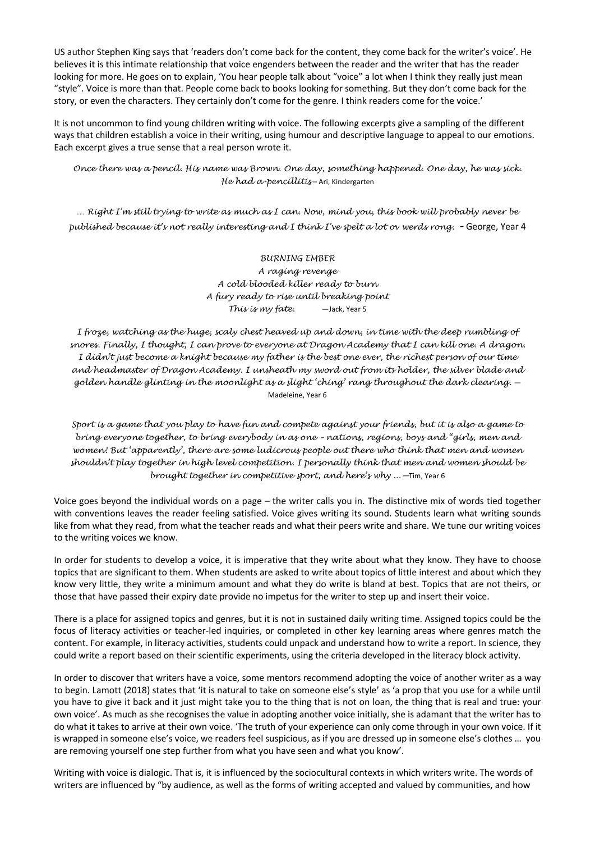US author Stephen King says that 'readers don't come back for the content, they come back for the writer's voice'. He believes it is this intimate relationship that voice engenders between the reader and the writer that has the reader looking for more. He goes on to explain, 'You hear people talk about "voice" a lot when I think they really just mean "style". Voice is more than that. People come back to books looking for something. But they don't come back for the story, or even the characters. They certainly don't come for the genre. I think readers come for the voice.'

It is not uncommon to find young children writing with voice. The following excerpts give a sampling of the different ways that children establish a voice in their writing, using humour and descriptive language to appeal to our emotions. Each excerpt gives a true sense that a real person wrote it.

*Once there was a pencil. His name was Brown. One day, something happened. One day, he was sick. He had a-pencillitis* – Ari, Kindergarten

*… Right I'm still trying to write as much as I can. Now, mind you, this book will probably never be published because it's not really interesting and I think I've spelt a lot ov werds rong. –* George, Year 4

> *BURNING EMBER A raging revenge A cold blooded killer ready to burn A fury ready to rise until breaking point This is my fate.* —Jack, Year 5

*I froze, watching as the huge, scaly chest heaved up and down, in time with the deep rumbling of snores. Finally, I thought, I can prove to everyone at Dragon Academy that I can kill one. A dragon. I didn't just become a knight because my father is the best one ever, the richest person of our time and headmaster of Dragon Academy. I unsheath my sword out from its holder, the silver blade and golden handle glinting in the moonlight as a slight 'ching' rang throughout the dark clearing.* — Madeleine, Year 6

*Sport is a game that you play to have fun and compete against your friends, but it is also a game to bring everyone together, to bring everybody in as one – nations, regions, boys and "girls, men and women! But 'apparently', there are some ludicrous people out there who think that men and women shouldn't play together in high level competition. I personally think that men and women should be brought together in competitive sport, and here's why ...—*Tim, Year 6

Voice goes beyond the individual words on a page – the writer calls you in. The distinctive mix of words tied together with conventions leaves the reader feeling satisfied. Voice gives writing its sound. Students learn what writing sounds like from what they read, from what the teacher reads and what their peers write and share. We tune our writing voices to the writing voices we know.

In order for students to develop a voice, it is imperative that they write about what they know. They have to choose topics that are significant to them. When students are asked to write about topics of little interest and about which they know very little, they write a minimum amount and what they do write is bland at best. Topics that are not theirs, or those that have passed their expiry date provide no impetus for the writer to step up and insert their voice.

There is a place for assigned topics and genres, but it is not in sustained daily writing time. Assigned topics could be the focus of literacy activities or teacher-led inquiries, or completed in other key learning areas where genres match the content. For example, in literacy activities, students could unpack and understand how to write a report. In science, they could write a report based on their scientific experiments, using the criteria developed in the literacy block activity.

In order to discover that writers have a voice, some mentors recommend adopting the voice of another writer as a way to begin. Lamott (2018) states that 'it is natural to take on someone else's style' as 'a prop that you use for a while until you have to give it back and it just might take you to the thing that is not on loan, the thing that is real and true: your own voice'. As much as she recognises the value in adopting another voice initially, she is adamant that the writer has to do what it takes to arrive at their own voice. 'The truth of your experience can only come through in your own voice. If it is wrapped in someone else's voice, we readers feel suspicious, as if you are dressed up in someone else's clothes … you are removing yourself one step further from what you have seen and what you know'.

Writing with voice is dialogic. That is, it is influenced by the sociocultural contexts in which writers write. The words of writers are influenced by "by audience, as well as the forms of writing accepted and valued by communities, and how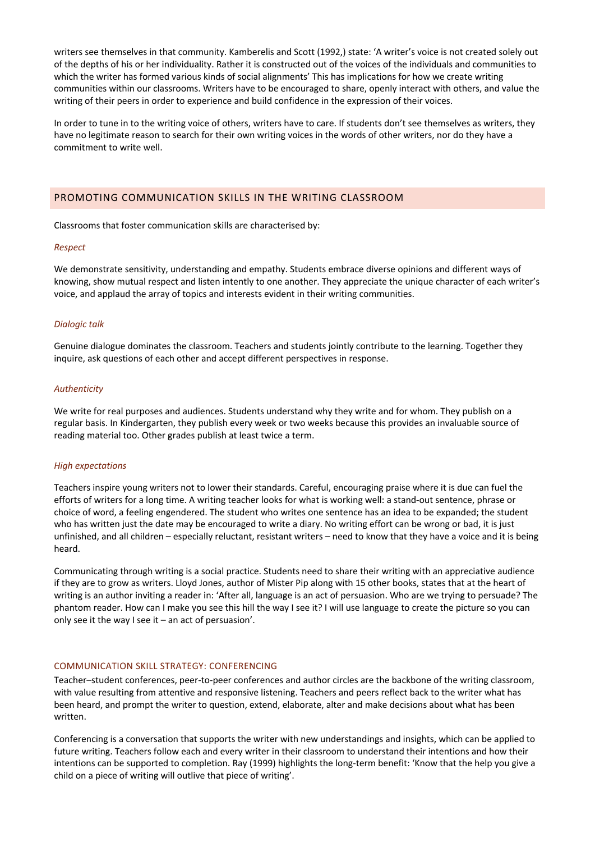writers see themselves in that community. Kamberelis and Scott (1992,) state: 'A writer's voice is not created solely out of the depths of his or her individuality. Rather it is constructed out of the voices of the individuals and communities to which the writer has formed various kinds of social alignments' This has implications for how we create writing communities within our classrooms. Writers have to be encouraged to share, openly interact with others, and value the writing of their peers in order to experience and build confidence in the expression of their voices.

In order to tune in to the writing voice of others, writers have to care. If students don't see themselves as writers, they have no legitimate reason to search for their own writing voices in the words of other writers, nor do they have a commitment to write well.

## PROMOTING COMMUNICATION SKILLS IN THE WRITING CLASSROOM

Classrooms that foster communication skills are characterised by:

#### *Respect*

We demonstrate sensitivity, understanding and empathy. Students embrace diverse opinions and different ways of knowing, show mutual respect and listen intently to one another. They appreciate the unique character of each writer's voice, and applaud the array of topics and interests evident in their writing communities.

#### *Dialogic talk*

Genuine dialogue dominates the classroom. Teachers and students jointly contribute to the learning. Together they inquire, ask questions of each other and accept different perspectives in response.

#### *Authenticity*

We write for real purposes and audiences. Students understand why they write and for whom. They publish on a regular basis. In Kindergarten, they publish every week or two weeks because this provides an invaluable source of reading material too. Other grades publish at least twice a term.

#### *High expectations*

Teachers inspire young writers not to lower their standards. Careful, encouraging praise where it is due can fuel the efforts of writers for a long time. A writing teacher looks for what is working well: a stand-out sentence, phrase or choice of word, a feeling engendered. The student who writes one sentence has an idea to be expanded; the student who has written just the date may be encouraged to write a diary. No writing effort can be wrong or bad, it is just unfinished, and all children – especially reluctant, resistant writers – need to know that they have a voice and it is being heard.

Communicating through writing is a social practice. Students need to share their writing with an appreciative audience if they are to grow as writers. Lloyd Jones, author of Mister Pip along with 15 other books, states that at the heart of writing is an author inviting a reader in: 'After all, language is an act of persuasion. Who are we trying to persuade? The phantom reader. How can I make you see this hill the way I see it? I will use language to create the picture so you can only see it the way I see it – an act of persuasion'.

# COMMUNICATION SKILL STRATEGY: CONFERENCING

Teacher–student conferences, peer-to-peer conferences and author circles are the backbone of the writing classroom, with value resulting from attentive and responsive listening. Teachers and peers reflect back to the writer what has been heard, and prompt the writer to question, extend, elaborate, alter and make decisions about what has been written.

Conferencing is a conversation that supports the writer with new understandings and insights, which can be applied to future writing. Teachers follow each and every writer in their classroom to understand their intentions and how their intentions can be supported to completion. Ray (1999) highlights the long-term benefit: 'Know that the help you give a child on a piece of writing will outlive that piece of writing'.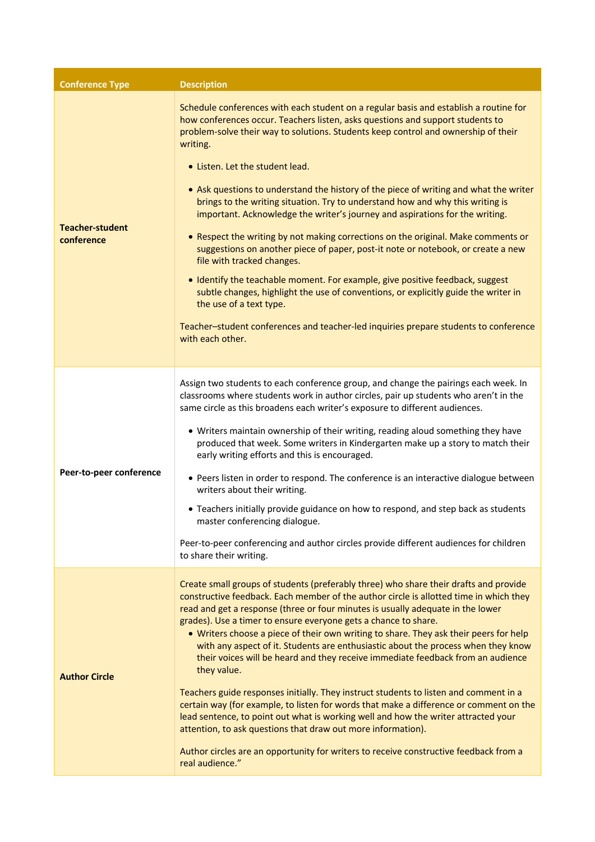| <b>Conference Type</b>               | <b>Description</b>                                                                                                                                                                                                                                                                                                                                                                                                                                                                                                                                                                                                                                                                                                                                                                                                                                                                                                                                                                                                                                                                            |
|--------------------------------------|-----------------------------------------------------------------------------------------------------------------------------------------------------------------------------------------------------------------------------------------------------------------------------------------------------------------------------------------------------------------------------------------------------------------------------------------------------------------------------------------------------------------------------------------------------------------------------------------------------------------------------------------------------------------------------------------------------------------------------------------------------------------------------------------------------------------------------------------------------------------------------------------------------------------------------------------------------------------------------------------------------------------------------------------------------------------------------------------------|
| <b>Teacher-student</b><br>conference | Schedule conferences with each student on a regular basis and establish a routine for<br>how conferences occur. Teachers listen, asks questions and support students to<br>problem-solve their way to solutions. Students keep control and ownership of their<br>writing.<br>• Listen. Let the student lead.<br>• Ask questions to understand the history of the piece of writing and what the writer<br>brings to the writing situation. Try to understand how and why this writing is<br>important. Acknowledge the writer's journey and aspirations for the writing.<br>• Respect the writing by not making corrections on the original. Make comments or<br>suggestions on another piece of paper, post-it note or notebook, or create a new<br>file with tracked changes.<br>• Identify the teachable moment. For example, give positive feedback, suggest<br>subtle changes, highlight the use of conventions, or explicitly guide the writer in<br>the use of a text type.<br>Teacher-student conferences and teacher-led inquiries prepare students to conference<br>with each other. |
| Peer-to-peer conference              | Assign two students to each conference group, and change the pairings each week. In<br>classrooms where students work in author circles, pair up students who aren't in the<br>same circle as this broadens each writer's exposure to different audiences.<br>• Writers maintain ownership of their writing, reading aloud something they have<br>produced that week. Some writers in Kindergarten make up a story to match their<br>early writing efforts and this is encouraged.<br>• Peers listen in order to respond. The conference is an interactive dialogue between<br>writers about their writing.<br>• Teachers initially provide guidance on how to respond, and step back as students<br>master conferencing dialogue.<br>Peer-to-peer conferencing and author circles provide different audiences for children<br>to share their writing.                                                                                                                                                                                                                                        |
| <b>Author Circle</b>                 | Create small groups of students (preferably three) who share their drafts and provide<br>constructive feedback. Each member of the author circle is allotted time in which they<br>read and get a response (three or four minutes is usually adequate in the lower<br>grades). Use a timer to ensure everyone gets a chance to share.<br>• Writers choose a piece of their own writing to share. They ask their peers for help<br>with any aspect of it. Students are enthusiastic about the process when they know<br>their voices will be heard and they receive immediate feedback from an audience<br>they value.<br>Teachers guide responses initially. They instruct students to listen and comment in a<br>certain way (for example, to listen for words that make a difference or comment on the<br>lead sentence, to point out what is working well and how the writer attracted your<br>attention, to ask questions that draw out more information).<br>Author circles are an opportunity for writers to receive constructive feedback from a<br>real audience."                    |